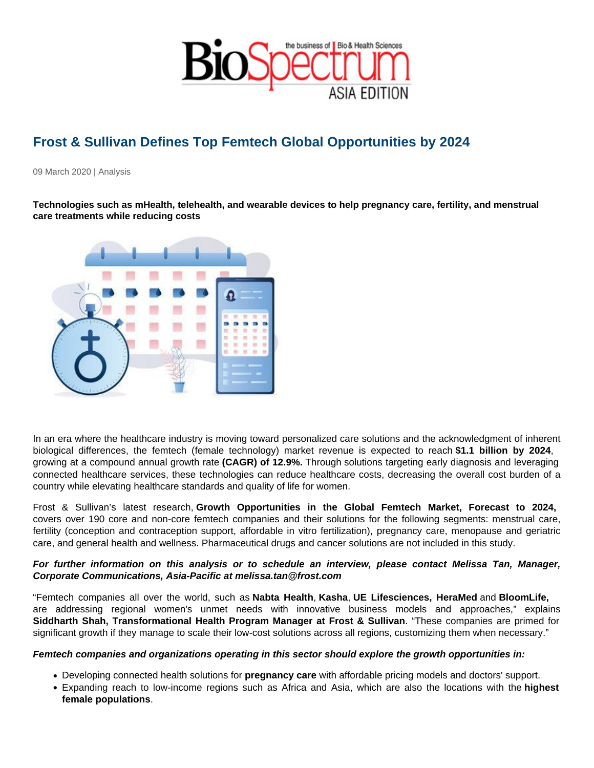## Frost & Sullivan Defines Top Femtech Global Opportunities by 2024

09 March 2020 | Analysis

Technologies such as mHealth, telehealth, and wearable devices to help pregnancy care, fertility, and menstrual care treatments while reducing costs

In an era where the healthcare industry is moving toward personalized care solutions and the acknowledgment of inherent biological differences, the femtech (female technology) market revenue is expected to reach \$1.1 billion by 2024 , growing at a compound annual growth rate (CAGR) of 12.9%. Through solutions targeting early diagnosis and leveraging connected healthcare services, these technologies can reduce healthcare costs, decreasing the overall cost burden of a country while elevating healthcare standards and quality of life for women.

Frost & Sullivan's latest research, Growth Opportunities in the Global Femtech Market, Forecast to 2024, covers over 190 core and non-core femtech companies and their solutions for the following segments: menstrual care, fertility (conception and contraception support, affordable in vitro fertilization), pregnancy care, menopause and geriatric care, and general health and wellness. Pharmaceutical drugs and cancer solutions are not included in this study.

For further information on this analysis or to schedule an interview, please contact Melissa Tan, Manager, Corporate Communications, Asia-Pacific at melissa.tan@frost.com

"Femtech companies all over the world, such as Nabta Health , Kasha, UE Lifesciences, HeraMed and BloomLife, are addressing regional women's unmet needs with innovative business models and approaches," explains Siddharth Shah, Transformational Health Program Manager at Frost & Sullivan . "These companies are primed for significant growth if they manage to scale their low-cost solutions across all regions, customizing them when necessary."

Femtech companies and organizations operating in this sector should explore the growth opportunities in:

- Developing connected health solutions for pregnancy care with affordable pricing models and doctors' support.
- Expanding reach to low-income regions such as Africa and Asia, which are also the locations with the highest female populations .